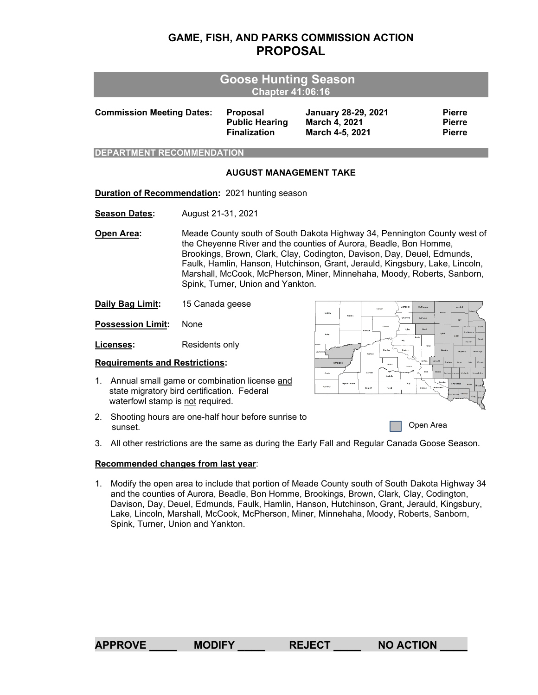## **GAME, FISH, AND PARKS COMMISSION ACTION PROPOSAL**

| <b>Goose Hunting Season</b><br><b>Chapter 41:06:16</b>                                                                                |  |                                                                                                                                                                                                                                                                                                                                                                                                                          |                                                                 |                                                                |                                                 |  |  |  |
|---------------------------------------------------------------------------------------------------------------------------------------|--|--------------------------------------------------------------------------------------------------------------------------------------------------------------------------------------------------------------------------------------------------------------------------------------------------------------------------------------------------------------------------------------------------------------------------|-----------------------------------------------------------------|----------------------------------------------------------------|-------------------------------------------------|--|--|--|
| <b>Commission Meeting Dates:</b>                                                                                                      |  |                                                                                                                                                                                                                                                                                                                                                                                                                          | <b>Proposal</b><br><b>Public Hearing</b><br><b>Finalization</b> | <b>January 28-29, 2021</b><br>March 4, 2021<br>March 4-5, 2021 | <b>Pierre</b><br><b>Pierre</b><br><b>Pierre</b> |  |  |  |
| <b>DEPARTMENT RECOMMENDATION</b>                                                                                                      |  |                                                                                                                                                                                                                                                                                                                                                                                                                          |                                                                 |                                                                |                                                 |  |  |  |
|                                                                                                                                       |  |                                                                                                                                                                                                                                                                                                                                                                                                                          | <b>AUGUST MANAGEMENT TAKE</b>                                   |                                                                |                                                 |  |  |  |
| <b>Duration of Recommendation: 2021 hunting season</b>                                                                                |  |                                                                                                                                                                                                                                                                                                                                                                                                                          |                                                                 |                                                                |                                                 |  |  |  |
| <b>Season Dates:</b>                                                                                                                  |  | August 21-31, 2021                                                                                                                                                                                                                                                                                                                                                                                                       |                                                                 |                                                                |                                                 |  |  |  |
| Open Area:                                                                                                                            |  | Meade County south of South Dakota Highway 34, Pennington County west of<br>the Cheyenne River and the counties of Aurora, Beadle, Bon Homme,<br>Brookings, Brown, Clark, Clay, Codington, Davison, Day, Deuel, Edmunds,<br>Faulk, Hamlin, Hanson, Hutchinson, Grant, Jerauld, Kingsbury, Lake, Lincoln,<br>Marshall, McCook, McPherson, Miner, Minnehaha, Moody, Roberts, Sanborn,<br>Spink, Turner, Union and Yankton. |                                                                 |                                                                |                                                 |  |  |  |
| Daily Bag Limit:                                                                                                                      |  | 15 Canada geese<br>Compboll<br>Corson                                                                                                                                                                                                                                                                                                                                                                                    |                                                                 |                                                                |                                                 |  |  |  |
| <b>Possession Limit:</b>                                                                                                              |  | None                                                                                                                                                                                                                                                                                                                                                                                                                     |                                                                 | Hading<br>Feridas<br>Wates:th<br>Dowo<br><b>Notive</b>         | Edmunds<br>$\infty$<br>spira                    |  |  |  |
| Licenses:                                                                                                                             |  | Cian<br><b>Hourth</b><br>Residents only<br><b>How</b><br>Hughes<br>Hardon                                                                                                                                                                                                                                                                                                                                                |                                                                 |                                                                |                                                 |  |  |  |
| <b>Requirements and Restrictions:</b>                                                                                                 |  |                                                                                                                                                                                                                                                                                                                                                                                                                          |                                                                 | Fennings                                                       | <b>Jenuité</b>                                  |  |  |  |
| Annual small game or combination license and<br>1.<br>state migratory bird certification. Federal<br>waterfowl stamp is not required. |  |                                                                                                                                                                                                                                                                                                                                                                                                                          | Cutty<br>Fall like<br>teredt<br>Todd                            |                                                                |                                                 |  |  |  |

2. Shooting hours are one-half hour before sunrise to sunset.

Open Area

3. All other restrictions are the same as during the Early Fall and Regular Canada Goose Season.

## **Recommended changes from last year**:

1. Modify the open area to include that portion of Meade County south of South Dakota Highway 34 and the counties of Aurora, Beadle, Bon Homme, Brookings, Brown, Clark, Clay, Codington, Davison, Day, Deuel, Edmunds, Faulk, Hamlin, Hanson, Hutchinson, Grant, Jerauld, Kingsbury, Lake, Lincoln, Marshall, McCook, McPherson, Miner, Minnehaha, Moody, Roberts, Sanborn, Spink, Turner, Union and Yankton.